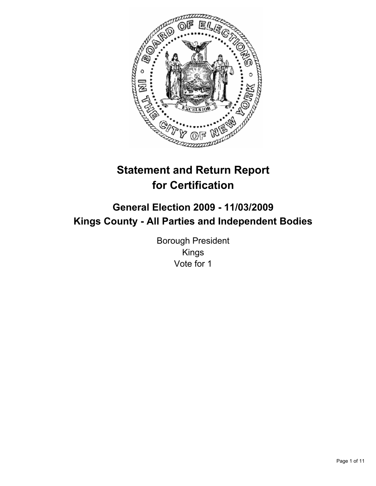

# **Statement and Return Report for Certification**

# **General Election 2009 - 11/03/2009 Kings County - All Parties and Independent Bodies**

Borough President Kings Vote for 1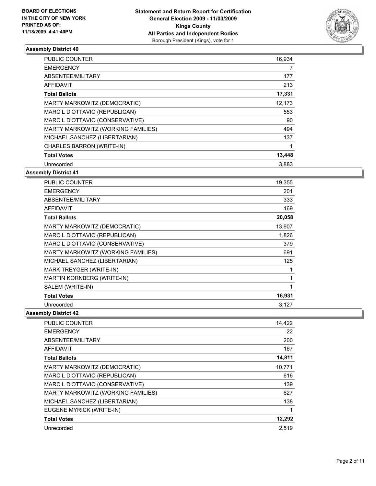

| <b>PUBLIC COUNTER</b>              | 16,934 |
|------------------------------------|--------|
| <b>EMERGENCY</b>                   | 7      |
| ABSENTEE/MILITARY                  | 177    |
| <b>AFFIDAVIT</b>                   | 213    |
| <b>Total Ballots</b>               | 17,331 |
| MARTY MARKOWITZ (DEMOCRATIC)       | 12.173 |
| MARC L D'OTTAVIO (REPUBLICAN)      | 553    |
| MARC L D'OTTAVIO (CONSERVATIVE)    | 90     |
| MARTY MARKOWITZ (WORKING FAMILIES) | 494    |
| MICHAEL SANCHEZ (LIBERTARIAN)      | 137    |
| CHARLES BARRON (WRITE-IN)          |        |
| <b>Total Votes</b>                 | 13,448 |
| Unrecorded                         | 3,883  |

# **Assembly District 41**

| <b>PUBLIC COUNTER</b>              | 19,355 |
|------------------------------------|--------|
| <b>EMERGENCY</b>                   | 201    |
| ABSENTEE/MILITARY                  | 333    |
| <b>AFFIDAVIT</b>                   | 169    |
| <b>Total Ballots</b>               | 20,058 |
| MARTY MARKOWITZ (DEMOCRATIC)       | 13,907 |
| MARC L D'OTTAVIO (REPUBLICAN)      | 1,826  |
| MARC L D'OTTAVIO (CONSERVATIVE)    | 379    |
| MARTY MARKOWITZ (WORKING FAMILIES) | 691    |
| MICHAEL SANCHEZ (LIBERTARIAN)      | 125    |
| MARK TREYGER (WRITE-IN)            | 1      |
| MARTIN KORNBERG (WRITE-IN)         | 1      |
| SALEM (WRITE-IN)                   | 1      |
| <b>Total Votes</b>                 | 16,931 |
| Unrecorded                         | 3,127  |

| <b>PUBLIC COUNTER</b>              | 14,422 |
|------------------------------------|--------|
| <b>EMERGENCY</b>                   | 22     |
| ABSENTEE/MILITARY                  | 200    |
| <b>AFFIDAVIT</b>                   | 167    |
| <b>Total Ballots</b>               | 14,811 |
| MARTY MARKOWITZ (DEMOCRATIC)       | 10.771 |
| MARC L D'OTTAVIO (REPUBLICAN)      | 616    |
| MARC L D'OTTAVIO (CONSERVATIVE)    | 139    |
| MARTY MARKOWITZ (WORKING FAMILIES) | 627    |
| MICHAEL SANCHEZ (LIBERTARIAN)      | 138    |
| EUGENE MYRICK (WRITE-IN)           |        |
| <b>Total Votes</b>                 | 12,292 |
| Unrecorded                         | 2,519  |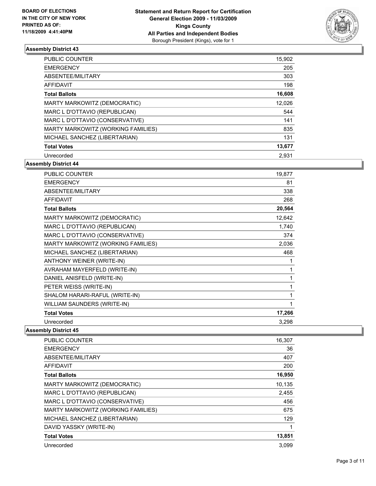

| <b>PUBLIC COUNTER</b>              | 15,902 |
|------------------------------------|--------|
| <b>EMERGENCY</b>                   | 205    |
| ABSENTEE/MILITARY                  | 303    |
| <b>AFFIDAVIT</b>                   | 198    |
| <b>Total Ballots</b>               | 16,608 |
| MARTY MARKOWITZ (DEMOCRATIC)       | 12,026 |
| MARC L D'OTTAVIO (REPUBLICAN)      | 544    |
| MARC L D'OTTAVIO (CONSERVATIVE)    | 141    |
| MARTY MARKOWITZ (WORKING FAMILIES) | 835    |
| MICHAEL SANCHEZ (LIBERTARIAN)      | 131    |
| <b>Total Votes</b>                 | 13,677 |
| Unrecorded                         | 2.931  |

**Assembly District 44**

| <b>PUBLIC COUNTER</b>              | 19,877 |
|------------------------------------|--------|
| <b>EMERGENCY</b>                   | 81     |
| ABSENTEE/MILITARY                  | 338    |
| <b>AFFIDAVIT</b>                   | 268    |
| <b>Total Ballots</b>               | 20,564 |
| MARTY MARKOWITZ (DEMOCRATIC)       | 12,642 |
| MARC L D'OTTAVIO (REPUBLICAN)      | 1,740  |
| MARC L D'OTTAVIO (CONSERVATIVE)    | 374    |
| MARTY MARKOWITZ (WORKING FAMILIES) | 2,036  |
| MICHAEL SANCHEZ (LIBERTARIAN)      | 468    |
| ANTHONY WEINER (WRITE-IN)          | 1      |
| AVRAHAM MAYERFELD (WRITE-IN)       | 1      |
| DANIEL ANISFELD (WRITE-IN)         | 1      |
| PETER WEISS (WRITE-IN)             | 1      |
| SHALOM HARARI-RAFUL (WRITE-IN)     | 1      |
| WILLIAM SAUNDERS (WRITE-IN)        | 1      |
| <b>Total Votes</b>                 | 17,266 |
| Unrecorded                         | 3,298  |

| <b>PUBLIC COUNTER</b>              | 16,307 |
|------------------------------------|--------|
| <b>EMERGENCY</b>                   | 36     |
| ABSENTEE/MILITARY                  | 407    |
| AFFIDAVIT                          | 200    |
| <b>Total Ballots</b>               | 16,950 |
| MARTY MARKOWITZ (DEMOCRATIC)       | 10,135 |
| MARC L D'OTTAVIO (REPUBLICAN)      | 2,455  |
| MARC L D'OTTAVIO (CONSERVATIVE)    | 456    |
| MARTY MARKOWITZ (WORKING FAMILIES) | 675    |
| MICHAEL SANCHEZ (LIBERTARIAN)      | 129    |
| DAVID YASSKY (WRITE-IN)            |        |
| <b>Total Votes</b>                 | 13,851 |
| Unrecorded                         | 3.099  |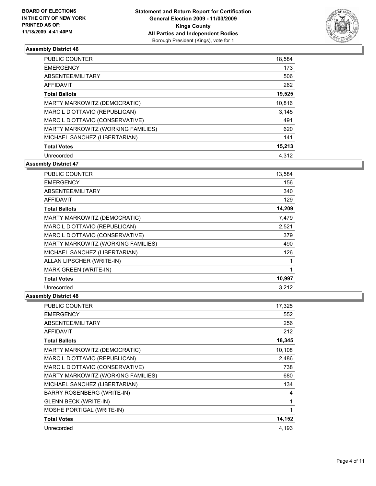

| <b>PUBLIC COUNTER</b>              | 18,584 |
|------------------------------------|--------|
| <b>EMERGENCY</b>                   | 173    |
| ABSENTEE/MILITARY                  | 506    |
| AFFIDAVIT                          | 262    |
| <b>Total Ballots</b>               | 19,525 |
| MARTY MARKOWITZ (DEMOCRATIC)       | 10,816 |
| MARC L D'OTTAVIO (REPUBLICAN)      | 3.145  |
| MARC L D'OTTAVIO (CONSERVATIVE)    | 491    |
| MARTY MARKOWITZ (WORKING FAMILIES) | 620    |
| MICHAEL SANCHEZ (LIBERTARIAN)      | 141    |
| <b>Total Votes</b>                 | 15,213 |
| Unrecorded                         | 4.312  |

**Assembly District 47**

| <b>PUBLIC COUNTER</b>              | 13,584 |
|------------------------------------|--------|
| <b>EMERGENCY</b>                   | 156    |
| ABSENTEE/MILITARY                  | 340    |
| <b>AFFIDAVIT</b>                   | 129    |
| <b>Total Ballots</b>               | 14,209 |
| MARTY MARKOWITZ (DEMOCRATIC)       | 7,479  |
| MARC L D'OTTAVIO (REPUBLICAN)      | 2,521  |
| MARC L D'OTTAVIO (CONSERVATIVE)    | 379    |
| MARTY MARKOWITZ (WORKING FAMILIES) | 490    |
| MICHAEL SANCHEZ (LIBERTARIAN)      | 126    |
| ALLAN LIPSCHER (WRITE-IN)          | 1      |
| <b>MARK GREEN (WRITE-IN)</b>       | 1      |
| <b>Total Votes</b>                 | 10,997 |
| Unrecorded                         | 3.212  |

| <b>PUBLIC COUNTER</b>              | 17,325 |
|------------------------------------|--------|
| <b>EMERGENCY</b>                   | 552    |
| ABSENTEE/MILITARY                  | 256    |
| <b>AFFIDAVIT</b>                   | 212    |
| <b>Total Ballots</b>               | 18,345 |
| MARTY MARKOWITZ (DEMOCRATIC)       | 10,108 |
| MARC L D'OTTAVIO (REPUBLICAN)      | 2,486  |
| MARC L D'OTTAVIO (CONSERVATIVE)    | 738    |
| MARTY MARKOWITZ (WORKING FAMILIES) | 680    |
| MICHAEL SANCHEZ (LIBERTARIAN)      | 134    |
| <b>BARRY ROSENBERG (WRITE-IN)</b>  | 4      |
| <b>GLENN BECK (WRITE-IN)</b>       | 1      |
| MOSHE PORTIGAL (WRITE-IN)          | 1      |
| <b>Total Votes</b>                 | 14,152 |
| Unrecorded                         | 4,193  |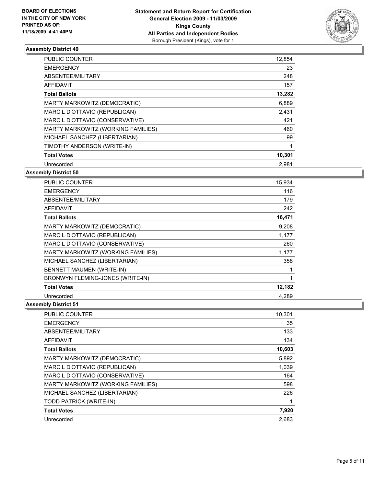

| <b>PUBLIC COUNTER</b>              | 12,854 |
|------------------------------------|--------|
| <b>EMERGENCY</b>                   | 23     |
| ABSENTEE/MILITARY                  | 248    |
| <b>AFFIDAVIT</b>                   | 157    |
| <b>Total Ballots</b>               | 13,282 |
| MARTY MARKOWITZ (DEMOCRATIC)       | 6,889  |
| MARC L D'OTTAVIO (REPUBLICAN)      | 2,431  |
| MARC L D'OTTAVIO (CONSERVATIVE)    | 421    |
| MARTY MARKOWITZ (WORKING FAMILIES) | 460    |
| MICHAEL SANCHEZ (LIBERTARIAN)      | 99     |
| TIMOTHY ANDERSON (WRITE-IN)        |        |
| <b>Total Votes</b>                 | 10,301 |
| Unrecorded                         | 2,981  |

# **Assembly District 50**

| <b>PUBLIC COUNTER</b>              | 15.934 |
|------------------------------------|--------|
| <b>EMERGENCY</b>                   | 116    |
| ABSENTEE/MILITARY                  | 179    |
| AFFIDAVIT                          | 242    |
| <b>Total Ballots</b>               | 16,471 |
| MARTY MARKOWITZ (DEMOCRATIC)       | 9,208  |
| MARC L D'OTTAVIO (REPUBLICAN)      | 1,177  |
| MARC L D'OTTAVIO (CONSERVATIVE)    | 260    |
| MARTY MARKOWITZ (WORKING FAMILIES) | 1,177  |
| MICHAEL SANCHEZ (LIBERTARIAN)      | 358    |
| BENNETT MAUMEN (WRITE-IN)          |        |
| BRONWYN FLEMING-JONES (WRITE-IN)   | 1      |
| <b>Total Votes</b>                 | 12,182 |
| Unrecorded                         | 4.289  |

| <b>PUBLIC COUNTER</b>              | 10,301 |
|------------------------------------|--------|
| <b>EMERGENCY</b>                   | 35     |
| ABSENTEE/MILITARY                  | 133    |
| <b>AFFIDAVIT</b>                   | 134    |
| <b>Total Ballots</b>               | 10,603 |
| MARTY MARKOWITZ (DEMOCRATIC)       | 5,892  |
| MARC L D'OTTAVIO (REPUBLICAN)      | 1,039  |
| MARC L D'OTTAVIO (CONSERVATIVE)    | 164    |
| MARTY MARKOWITZ (WORKING FAMILIES) | 598    |
| MICHAEL SANCHEZ (LIBERTARIAN)      | 226    |
| TODD PATRICK (WRITE-IN)            | 1      |
| <b>Total Votes</b>                 | 7,920  |
| Unrecorded                         | 2,683  |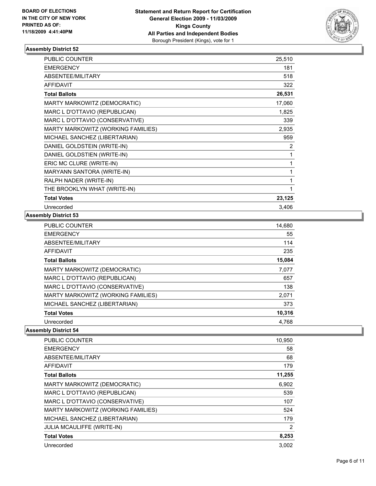

| PUBLIC COUNTER                     | 25,510 |
|------------------------------------|--------|
| <b>EMERGENCY</b>                   | 181    |
| ABSENTEE/MILITARY                  | 518    |
| <b>AFFIDAVIT</b>                   | 322    |
| <b>Total Ballots</b>               | 26,531 |
| MARTY MARKOWITZ (DEMOCRATIC)       | 17,060 |
| MARC L D'OTTAVIO (REPUBLICAN)      | 1,825  |
| MARC L D'OTTAVIO (CONSERVATIVE)    | 339    |
| MARTY MARKOWITZ (WORKING FAMILIES) | 2,935  |
| MICHAEL SANCHEZ (LIBERTARIAN)      | 959    |
| DANIEL GOLDSTEIN (WRITE-IN)        | 2      |
| DANIEL GOLDSTIEN (WRITE-IN)        | 1      |
| ERIC MC CLURE (WRITE-IN)           | 1      |
| MARYANN SANTORA (WRITE-IN)         | 1      |
| RALPH NADER (WRITE-IN)             | 1      |
| THE BROOKLYN WHAT (WRITE-IN)       | 1      |
| <b>Total Votes</b>                 | 23,125 |
| Unrecorded                         | 3,406  |

#### **Assembly District 53**

| <b>PUBLIC COUNTER</b>              | 14,680 |
|------------------------------------|--------|
| <b>EMERGENCY</b>                   | 55     |
| ABSENTEE/MILITARY                  | 114    |
| <b>AFFIDAVIT</b>                   | 235    |
| <b>Total Ballots</b>               | 15,084 |
| MARTY MARKOWITZ (DEMOCRATIC)       | 7,077  |
| MARC L D'OTTAVIO (REPUBLICAN)      | 657    |
| MARC L D'OTTAVIO (CONSERVATIVE)    | 138    |
| MARTY MARKOWITZ (WORKING FAMILIES) | 2,071  |
| MICHAEL SANCHEZ (LIBERTARIAN)      | 373    |
| <b>Total Votes</b>                 | 10,316 |
| Unrecorded                         | 4.768  |

| <b>PUBLIC COUNTER</b>              | 10,950 |
|------------------------------------|--------|
| <b>EMERGENCY</b>                   | 58     |
| ABSENTEE/MILITARY                  | 68     |
| <b>AFFIDAVIT</b>                   | 179    |
| <b>Total Ballots</b>               | 11,255 |
| MARTY MARKOWITZ (DEMOCRATIC)       | 6,902  |
| MARC L D'OTTAVIO (REPUBLICAN)      | 539    |
| MARC L D'OTTAVIO (CONSERVATIVE)    | 107    |
| MARTY MARKOWITZ (WORKING FAMILIES) | 524    |
| MICHAEL SANCHEZ (LIBERTARIAN)      | 179    |
| <b>JULIA MCAULIFFE (WRITE-IN)</b>  | 2      |
| <b>Total Votes</b>                 | 8,253  |
| Unrecorded                         | 3.002  |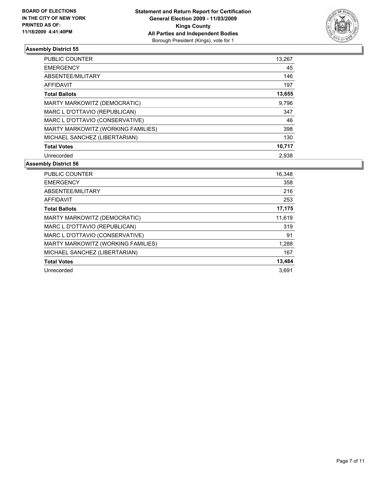

| <b>PUBLIC COUNTER</b>              | 13,267 |
|------------------------------------|--------|
| <b>EMERGENCY</b>                   | 45     |
| ABSENTEE/MILITARY                  | 146    |
| AFFIDAVIT                          | 197    |
| <b>Total Ballots</b>               | 13,655 |
| MARTY MARKOWITZ (DEMOCRATIC)       | 9,796  |
| MARC L D'OTTAVIO (REPUBLICAN)      | 347    |
| MARC L D'OTTAVIO (CONSERVATIVE)    | 46     |
| MARTY MARKOWITZ (WORKING FAMILIES) | 398    |
| MICHAEL SANCHEZ (LIBERTARIAN)      | 130    |
| <b>Total Votes</b>                 | 10,717 |
| Unrecorded                         | 2.938  |

| <b>PUBLIC COUNTER</b>              | 16,348 |
|------------------------------------|--------|
| <b>EMERGENCY</b>                   | 358    |
| ABSENTEE/MILITARY                  | 216    |
| <b>AFFIDAVIT</b>                   | 253    |
| <b>Total Ballots</b>               | 17,175 |
| MARTY MARKOWITZ (DEMOCRATIC)       | 11,619 |
| MARC L D'OTTAVIO (REPUBLICAN)      | 319    |
| MARC L D'OTTAVIO (CONSERVATIVE)    | 91     |
| MARTY MARKOWITZ (WORKING FAMILIES) | 1,288  |
| MICHAEL SANCHEZ (LIBERTARIAN)      | 167    |
| <b>Total Votes</b>                 | 13,484 |
| Unrecorded                         | 3.691  |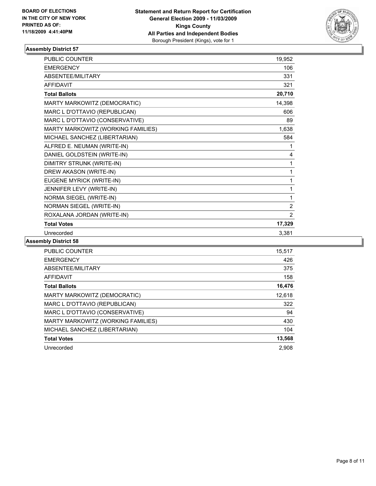

| PUBLIC COUNTER                     | 19,952 |
|------------------------------------|--------|
| <b>EMERGENCY</b>                   | 106    |
| ABSENTEE/MILITARY                  | 331    |
| <b>AFFIDAVIT</b>                   | 321    |
| <b>Total Ballots</b>               | 20,710 |
| MARTY MARKOWITZ (DEMOCRATIC)       | 14,398 |
| MARC L D'OTTAVIO (REPUBLICAN)      | 606    |
| MARC L D'OTTAVIO (CONSERVATIVE)    | 89     |
| MARTY MARKOWITZ (WORKING FAMILIES) | 1,638  |
| MICHAEL SANCHEZ (LIBERTARIAN)      | 584    |
| ALFRED E. NEUMAN (WRITE-IN)        | 1      |
| DANIEL GOLDSTEIN (WRITE-IN)        | 4      |
| DIMITRY STRUNK (WRITE-IN)          | 1      |
| DREW AKASON (WRITE-IN)             | 1      |
| EUGENE MYRICK (WRITE-IN)           | 1      |
| JENNIFER LEVY (WRITE-IN)           | 1      |
| NORMA SIEGEL (WRITE-IN)            | 1      |
| NORMAN SIEGEL (WRITE-IN)           | 2      |
| ROXALANA JORDAN (WRITE-IN)         | 2      |
| <b>Total Votes</b>                 | 17,329 |
| Unrecorded                         | 3,381  |

| <b>PUBLIC COUNTER</b>              | 15.517 |
|------------------------------------|--------|
| <b>EMERGENCY</b>                   | 426    |
| ABSENTEE/MILITARY                  | 375    |
| <b>AFFIDAVIT</b>                   | 158    |
| <b>Total Ballots</b>               | 16,476 |
| MARTY MARKOWITZ (DEMOCRATIC)       | 12,618 |
| MARC L D'OTTAVIO (REPUBLICAN)      | 322    |
| MARC L D'OTTAVIO (CONSERVATIVE)    | 94     |
| MARTY MARKOWITZ (WORKING FAMILIES) | 430    |
| MICHAEL SANCHEZ (LIBERTARIAN)      | 104    |
| <b>Total Votes</b>                 | 13,568 |
| Unrecorded                         | 2.908  |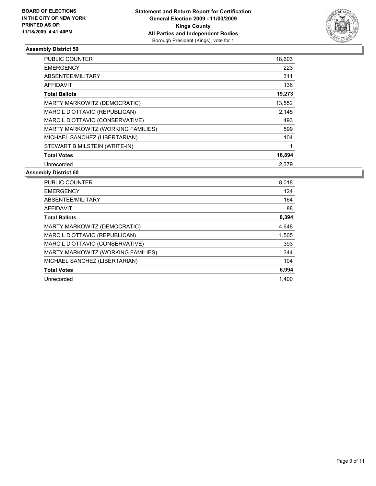

| PUBLIC COUNTER                     | 18,603 |
|------------------------------------|--------|
| <b>EMERGENCY</b>                   | 223    |
| ABSENTEE/MILITARY                  | 311    |
| <b>AFFIDAVIT</b>                   | 136    |
| <b>Total Ballots</b>               | 19,273 |
| MARTY MARKOWITZ (DEMOCRATIC)       | 13,552 |
| MARC L D'OTTAVIO (REPUBLICAN)      | 2,145  |
| MARC L D'OTTAVIO (CONSERVATIVE)    | 493    |
| MARTY MARKOWITZ (WORKING FAMILIES) | 599    |
| MICHAEL SANCHEZ (LIBERTARIAN)      | 104    |
| STEWART B MILSTEIN (WRITE-IN)      | 1      |
| <b>Total Votes</b>                 | 16,894 |
| Unrecorded                         | 2,379  |

| <b>PUBLIC COUNTER</b>              | 8,018 |
|------------------------------------|-------|
| <b>EMERGENCY</b>                   | 124   |
| ABSENTEE/MILITARY                  | 164   |
| AFFIDAVIT                          | 88    |
| <b>Total Ballots</b>               | 8,394 |
| MARTY MARKOWITZ (DEMOCRATIC)       | 4,648 |
| MARC L D'OTTAVIO (REPUBLICAN)      | 1,505 |
| MARC L D'OTTAVIO (CONSERVATIVE)    | 393   |
| MARTY MARKOWITZ (WORKING FAMILIES) | 344   |
| MICHAEL SANCHEZ (LIBERTARIAN)      | 104   |
| <b>Total Votes</b>                 | 6,994 |
| Unrecorded                         | 1.400 |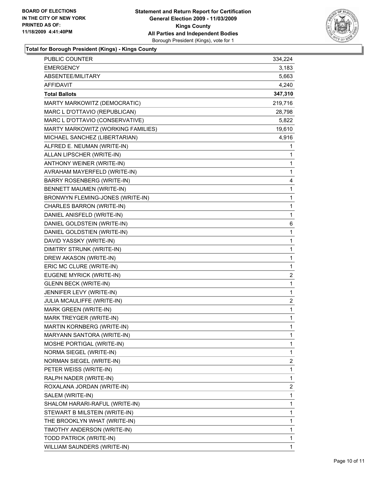

**Total for Borough President (Kings) - Kings County**

| PUBLIC COUNTER                     | 334,224      |
|------------------------------------|--------------|
| <b>EMERGENCY</b>                   | 3,183        |
| ABSENTEE/MILITARY                  | 5,663        |
| AFFIDAVIT                          | 4,240        |
| <b>Total Ballots</b>               | 347,310      |
| MARTY MARKOWITZ (DEMOCRATIC)       | 219,716      |
| MARC L D'OTTAVIO (REPUBLICAN)      | 28,798       |
| MARC L D'OTTAVIO (CONSERVATIVE)    | 5,822        |
| MARTY MARKOWITZ (WORKING FAMILIES) | 19,610       |
| MICHAEL SANCHEZ (LIBERTARIAN)      | 4,916        |
| ALFRED E. NEUMAN (WRITE-IN)        | 1            |
| ALLAN LIPSCHER (WRITE-IN)          | 1            |
| ANTHONY WEINER (WRITE-IN)          | 1            |
| AVRAHAM MAYERFELD (WRITE-IN)       | 1            |
| <b>BARRY ROSENBERG (WRITE-IN)</b>  | 4            |
| BENNETT MAUMEN (WRITE-IN)          | 1            |
| BRONWYN FLEMING-JONES (WRITE-IN)   | 1            |
| CHARLES BARRON (WRITE-IN)          | $\mathbf{1}$ |
| DANIEL ANISFELD (WRITE-IN)         | $\mathbf 1$  |
| DANIEL GOLDSTEIN (WRITE-IN)        | 6            |
| DANIEL GOLDSTIEN (WRITE-IN)        | $\mathbf{1}$ |
| DAVID YASSKY (WRITE-IN)            | 1            |
| DIMITRY STRUNK (WRITE-IN)          | 1            |
| DREW AKASON (WRITE-IN)             | $\mathbf{1}$ |
| ERIC MC CLURE (WRITE-IN)           | $\mathbf 1$  |
| EUGENE MYRICK (WRITE-IN)           | 2            |
| <b>GLENN BECK (WRITE-IN)</b>       | $\mathbf{1}$ |
| JENNIFER LEVY (WRITE-IN)           | 1            |
| JULIA MCAULIFFE (WRITE-IN)         | 2            |
| MARK GREEN (WRITE-IN)              | 1            |
| MARK TREYGER (WRITE-IN)            | $\mathbf 1$  |
| MARTIN KORNBERG (WRITE-IN)         | 1            |
| MARYANN SANTORA (WRITE-IN)         | 1            |
| MOSHE PORTIGAL (WRITE-IN)          | 1            |
| NORMA SIEGEL (WRITE-IN)            | 1            |
| NORMAN SIEGEL (WRITE-IN)           | 2            |
| PETER WEISS (WRITE-IN)             | 1            |
| RALPH NADER (WRITE-IN)             | 1            |
| ROXALANA JORDAN (WRITE-IN)         | 2            |
| SALEM (WRITE-IN)                   | 1            |
| SHALOM HARARI-RAFUL (WRITE-IN)     | 1            |
| STEWART B MILSTEIN (WRITE-IN)      | 1            |
| THE BROOKLYN WHAT (WRITE-IN)       | 1            |
| TIMOTHY ANDERSON (WRITE-IN)        | 1            |
| TODD PATRICK (WRITE-IN)            | 1            |
| WILLIAM SAUNDERS (WRITE-IN)        | 1            |